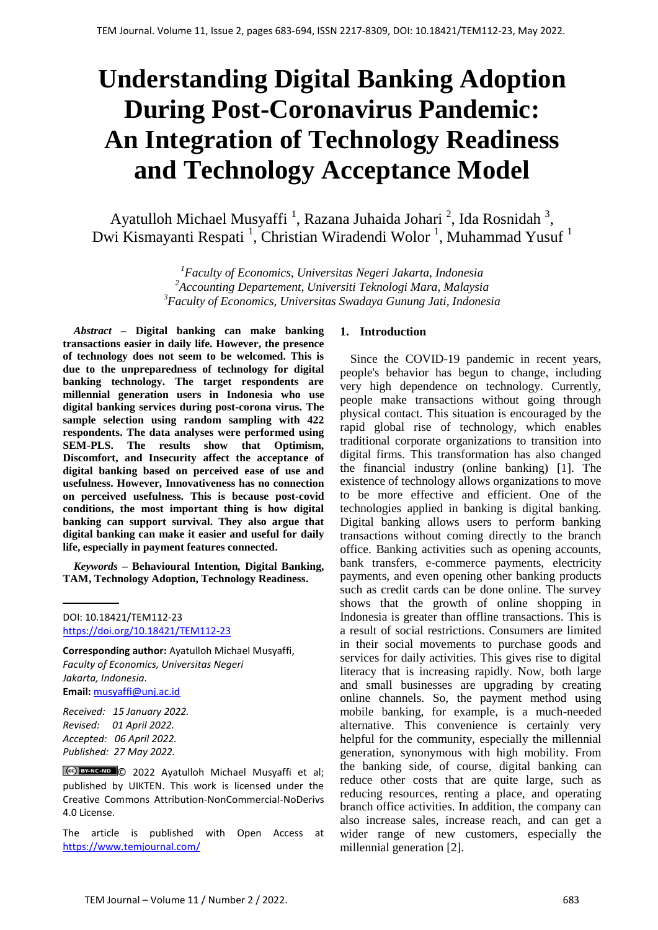# **Understanding Digital Banking Adoption During Post-Coronavirus Pandemic: An Integration of Technology Readiness and Technology Acceptance Model**

Ayatulloh Michael Musyaffi<sup>1</sup>, Razana Juhaida Johari<sup>2</sup>, Ida Rosnidah<sup>3</sup>, Dwi Kismayanti Respati<sup>1</sup>, Christian Wiradendi Wolor<sup>1</sup>, Muhammad Yusuf<sup>1</sup>

> *<sup>1</sup>Faculty of Economics, Universitas Negeri Jakarta, Indonesia <sup>2</sup>Accounting Departement, Universiti Teknologi Mara, Malaysia <sup>3</sup>Faculty of Economics, Universitas Swadaya Gunung Jati, Indonesia*

*Abstract –* **Digital banking can make banking transactions easier in daily life. However, the presence of technology does not seem to be welcomed. This is due to the unpreparedness of technology for digital banking technology. The target respondents are millennial generation users in Indonesia who use digital banking services during post-corona virus. The sample selection using random sampling with 422 respondents. The data analyses were performed using SEM-PLS. The results show that Optimism, Discomfort, and Insecurity affect the acceptance of digital banking based on perceived ease of use and usefulness. However, Innovativeness has no connection on perceived usefulness. This is because post-covid conditions, the most important thing is how digital banking can support survival. They also argue that digital banking can make it easier and useful for daily life, especially in payment features connected.** 

*Keywords –* **Behavioural Intention***,* **Digital Banking, TAM, Technology Adoption, Technology Readiness.** 

DOI: 10.18421/TEM112-23 [https://doi.org/10.18421/TEM112](https://doi.org/10.18421/TEM112-23)-23

**Corresponding author:** Ayatulloh Michael Musyaffi, *Faculty of Economics, Universitas Negeri Jakarta, Indonesia.*  **Email:** [musyaffi@unj.ac.id](mailto:musyaffi@unj.ac.id)

*Received: 15 January 2022. Revised: 01 April 2022. Accepted: 06 April 2022. Published: 27 May 2022.*

© 2022 Ayatulloh Michael Musyaffi et al; published by UIKTEN. This work is licensed under the Creative Commons Attribution-NonCommercial-NoDerivs 4.0 License.

The article is published with Open Access at <https://www.temjournal.com/>

## **1. Introduction**

Since the COVID-19 pandemic in recent years, people's behavior has begun to change, including very high dependence on technology. Currently, people make transactions without going through physical contact. This situation is encouraged by the rapid global rise of technology, which enables traditional corporate organizations to transition into digital firms. This transformation has also changed the financial industry (online banking) [1]. The existence of technology allows organizations to move to be more effective and efficient. One of the technologies applied in banking is digital banking. Digital banking allows users to perform banking transactions without coming directly to the branch office. Banking activities such as opening accounts, bank transfers, e-commerce payments, electricity payments, and even opening other banking products such as credit cards can be done online. The survey shows that the growth of online shopping in Indonesia is greater than offline transactions. This is a result of social restrictions. Consumers are limited in their social movements to purchase goods and services for daily activities. This gives rise to digital literacy that is increasing rapidly. Now, both large and small businesses are upgrading by creating online channels. So, the payment method using mobile banking, for example, is a much-needed alternative. This convenience is certainly very helpful for the community, especially the millennial generation, synonymous with high mobility. From the banking side, of course, digital banking can reduce other costs that are quite large, such as reducing resources, renting a place, and operating branch office activities. In addition, the company can also increase sales, increase reach, and can get a wider range of new customers, especially the millennial generation [2].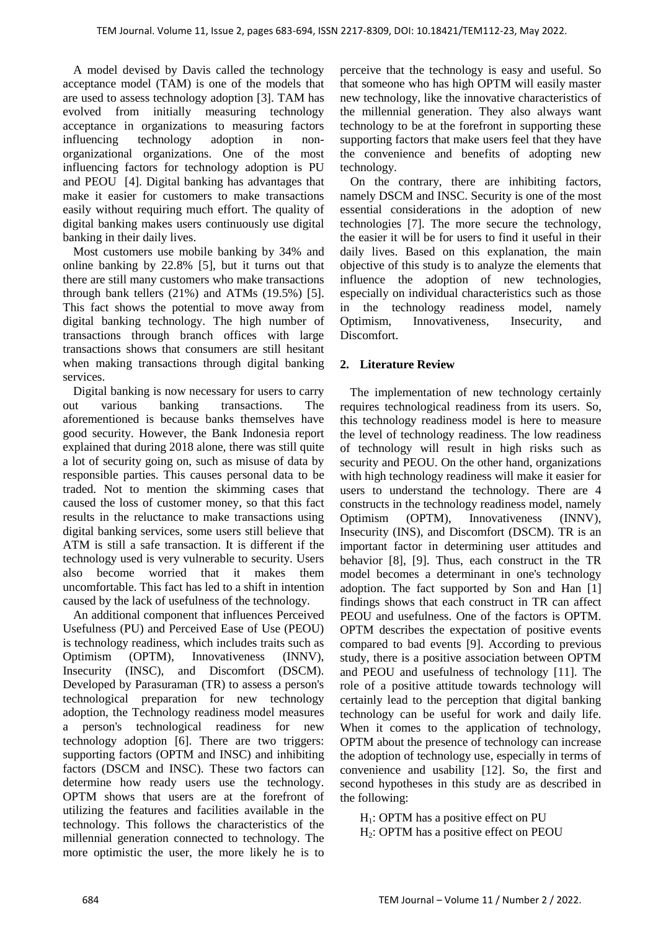A model devised by Davis called the technology acceptance model (TAM) is one of the models that are used to assess technology adoption [3]. TAM has evolved from initially measuring technology acceptance in organizations to measuring factors influencing technology adoption in nonorganizational organizations. One of the most influencing factors for technology adoption is PU and PEOU [4]. Digital banking has advantages that make it easier for customers to make transactions easily without requiring much effort. The quality of digital banking makes users continuously use digital banking in their daily lives.

Most customers use mobile banking by 34% and online banking by 22.8% [5], but it turns out that there are still many customers who make transactions through bank tellers (21%) and ATMs (19.5%) [5]. This fact shows the potential to move away from digital banking technology. The high number of transactions through branch offices with large transactions shows that consumers are still hesitant when making transactions through digital banking services.

Digital banking is now necessary for users to carry out various banking transactions. The aforementioned is because banks themselves have good security. However, the Bank Indonesia report explained that during 2018 alone, there was still quite a lot of security going on, such as misuse of data by responsible parties. This causes personal data to be traded. Not to mention the skimming cases that caused the loss of customer money, so that this fact results in the reluctance to make transactions using digital banking services, some users still believe that ATM is still a safe transaction. It is different if the technology used is very vulnerable to security. Users also become worried that it makes them uncomfortable. This fact has led to a shift in intention caused by the lack of usefulness of the technology.

An additional component that influences Perceived Usefulness (PU) and Perceived Ease of Use (PEOU) is technology readiness, which includes traits such as Optimism (OPTM), Innovativeness (INNV), Insecurity (INSC), and Discomfort (DSCM). Developed by Parasuraman (TR) to assess a person's technological preparation for new technology adoption, the Technology readiness model measures a person's technological readiness for new technology adoption [6]. There are two triggers: supporting factors (OPTM and INSC) and inhibiting factors (DSCM and INSC). These two factors can determine how ready users use the technology. OPTM shows that users are at the forefront of utilizing the features and facilities available in the technology. This follows the characteristics of the millennial generation connected to technology. The more optimistic the user, the more likely he is to

perceive that the technology is easy and useful. So that someone who has high OPTM will easily master new technology, like the innovative characteristics of the millennial generation. They also always want technology to be at the forefront in supporting these supporting factors that make users feel that they have the convenience and benefits of adopting new technology.

On the contrary, there are inhibiting factors, namely DSCM and INSC. Security is one of the most essential considerations in the adoption of new technologies [7]. The more secure the technology, the easier it will be for users to find it useful in their daily lives. Based on this explanation, the main objective of this study is to analyze the elements that influence the adoption of new technologies, especially on individual characteristics such as those in the technology readiness model, namely Optimism, Innovativeness, Insecurity, and Discomfort.

## **2. Literature Review**

The implementation of new technology certainly requires technological readiness from its users. So, this technology readiness model is here to measure the level of technology readiness. The low readiness of technology will result in high risks such as security and PEOU. On the other hand, organizations with high technology readiness will make it easier for users to understand the technology. There are 4 constructs in the technology readiness model, namely Optimism (OPTM), Innovativeness (INNV), Insecurity (INS), and Discomfort (DSCM). TR is an important factor in determining user attitudes and behavior [8], [9]. Thus, each construct in the TR model becomes a determinant in one's technology adoption. The fact supported by Son and Han [1] findings shows that each construct in TR can affect PEOU and usefulness. One of the factors is OPTM. OPTM describes the expectation of positive events compared to bad events [9]. According to previous study, there is a positive association between OPTM and PEOU and usefulness of technology [11]. The role of a positive attitude towards technology will certainly lead to the perception that digital banking technology can be useful for work and daily life. When it comes to the application of technology, OPTM about the presence of technology can increase the adoption of technology use, especially in terms of convenience and usability [12]. So, the first and second hypotheses in this study are as described in the following:

 $H<sub>1</sub>$ : OPTM has a positive effect on PU H2: OPTM has a positive effect on PEOU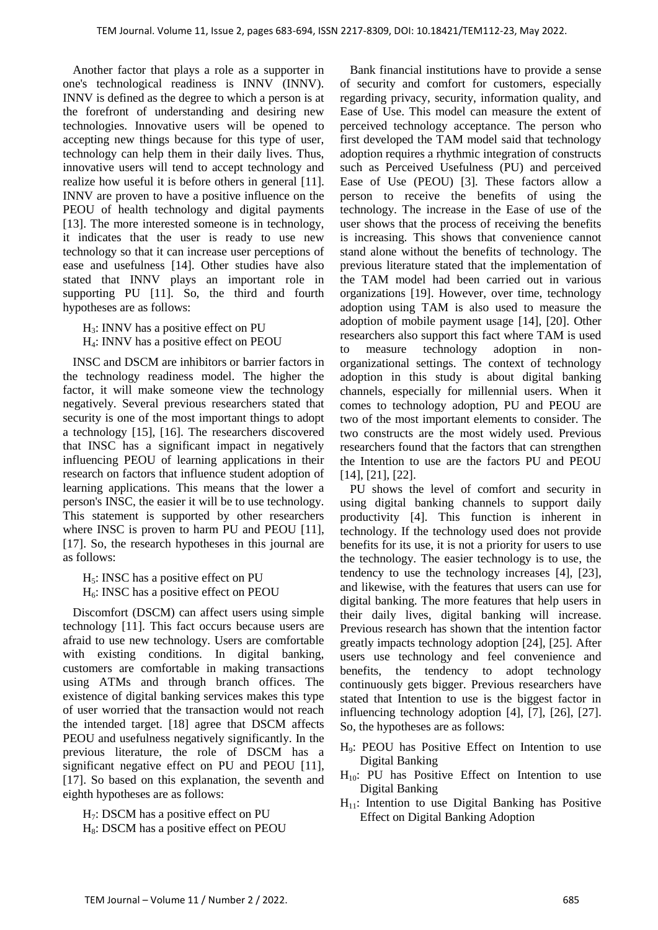Another factor that plays a role as a supporter in one's technological readiness is INNV (INNV). INNV is defined as the degree to which a person is at the forefront of understanding and desiring new technologies. Innovative users will be opened to accepting new things because for this type of user, technology can help them in their daily lives. Thus, innovative users will tend to accept technology and realize how useful it is before others in general [11]. INNV are proven to have a positive influence on the PEOU of health technology and digital payments [13]. The more interested someone is in technology, it indicates that the user is ready to use new technology so that it can increase user perceptions of ease and usefulness [14]. Other studies have also stated that INNV plays an important role in supporting PU [11]. So, the third and fourth hypotheses are as follows:

 $H_3$ : INNV has a positive effect on PU H4: INNV has a positive effect on PEOU

INSC and DSCM are inhibitors or barrier factors in the technology readiness model. The higher the factor, it will make someone view the technology negatively. Several previous researchers stated that security is one of the most important things to adopt a technology [15], [16]. The researchers discovered that INSC has a significant impact in negatively influencing PEOU of learning applications in their research on factors that influence student adoption of learning applications. This means that the lower a person's INSC, the easier it will be to use technology. This statement is supported by other researchers where INSC is proven to harm PU and PEOU [11], [17]. So, the research hypotheses in this journal are as follows:

 $H<sub>5</sub>$ : INSC has a positive effect on PU  $H_6$ : INSC has a positive effect on PEOU

Discomfort (DSCM) can affect users using simple technology [11]. This fact occurs because users are afraid to use new technology. Users are comfortable with existing conditions. In digital banking, customers are comfortable in making transactions using ATMs and through branch offices. The existence of digital banking services makes this type of user worried that the transaction would not reach the intended target. [18] agree that DSCM affects PEOU and usefulness negatively significantly. In the previous literature, the role of DSCM has a significant negative effect on PU and PEOU [11], [17]. So based on this explanation, the seventh and eighth hypotheses are as follows:

 $H<sub>7</sub>$ : DSCM has a positive effect on PU H<sub>8</sub>: DSCM has a positive effect on PEOU

Bank financial institutions have to provide a sense of security and comfort for customers, especially regarding privacy, security, information quality, and Ease of Use. This model can measure the extent of perceived technology acceptance. The person who first developed the TAM model said that technology adoption requires a rhythmic integration of constructs such as Perceived Usefulness (PU) and perceived Ease of Use (PEOU) [3]. These factors allow a person to receive the benefits of using the technology. The increase in the Ease of use of the user shows that the process of receiving the benefits is increasing. This shows that convenience cannot stand alone without the benefits of technology. The previous literature stated that the implementation of the TAM model had been carried out in various organizations [19]. However, over time, technology adoption using TAM is also used to measure the adoption of mobile payment usage [14], [20]. Other researchers also support this fact where TAM is used to measure technology adoption in nonorganizational settings. The context of technology adoption in this study is about digital banking channels, especially for millennial users. When it comes to technology adoption, PU and PEOU are two of the most important elements to consider. The two constructs are the most widely used. Previous researchers found that the factors that can strengthen the Intention to use are the factors PU and PEOU [14], [21], [22].

PU shows the level of comfort and security in using digital banking channels to support daily productivity [4]. This function is inherent in technology. If the technology used does not provide benefits for its use, it is not a priority for users to use the technology. The easier technology is to use, the tendency to use the technology increases [4], [23], and likewise, with the features that users can use for digital banking. The more features that help users in their daily lives, digital banking will increase. Previous research has shown that the intention factor greatly impacts technology adoption [24], [25]. After users use technology and feel convenience and benefits, the tendency to adopt technology continuously gets bigger. Previous researchers have stated that Intention to use is the biggest factor in influencing technology adoption [4], [7], [26], [27]. So, the hypotheses are as follows:

- H9: PEOU has Positive Effect on Intention to use Digital Banking
- $H_{10}$ : PU has Positive Effect on Intention to use Digital Banking
- $H_{11}$ : Intention to use Digital Banking has Positive Effect on Digital Banking Adoption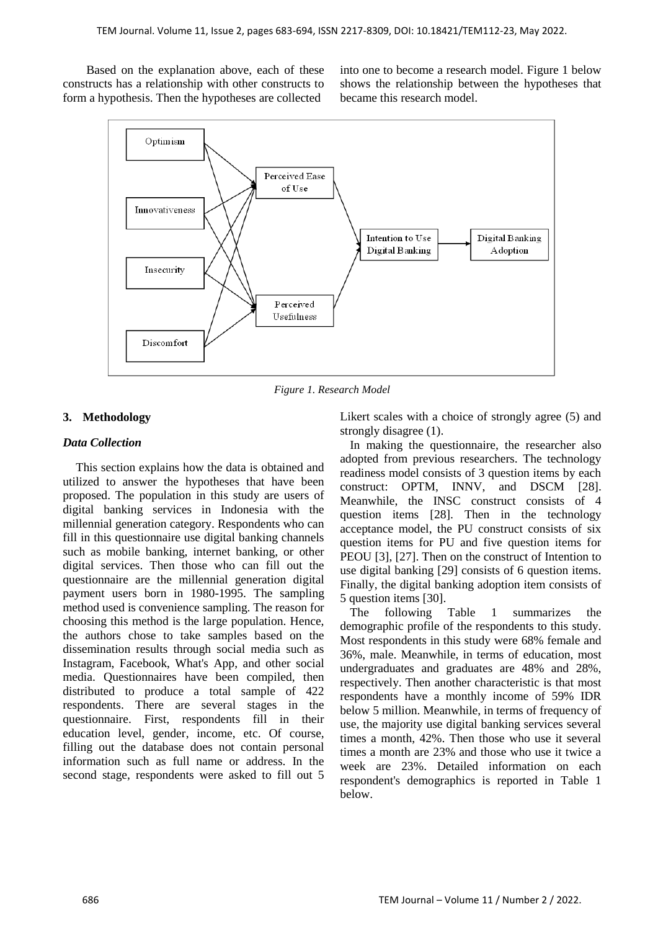Based on the explanation above, each of these constructs has a relationship with other constructs to form a hypothesis. Then the hypotheses are collected

into one to become a research model. Figure 1 below shows the relationship between the hypotheses that became this research model.



*Figure 1. Research Model*

# **3. Methodology**

## *Data Collection*

This section explains how the data is obtained and utilized to answer the hypotheses that have been proposed. The population in this study are users of digital banking services in Indonesia with the millennial generation category. Respondents who can fill in this questionnaire use digital banking channels such as mobile banking, internet banking, or other digital services. Then those who can fill out the questionnaire are the millennial generation digital payment users born in 1980-1995. The sampling method used is convenience sampling. The reason for choosing this method is the large population. Hence, the authors chose to take samples based on the dissemination results through social media such as Instagram, Facebook, What's App, and other social media. Questionnaires have been compiled, then distributed to produce a total sample of 422 respondents. There are several stages in the questionnaire. First, respondents fill in their education level, gender, income, etc. Of course, filling out the database does not contain personal information such as full name or address. In the second stage, respondents were asked to fill out 5

Likert scales with a choice of strongly agree (5) and strongly disagree (1).

In making the questionnaire, the researcher also adopted from previous researchers. The technology readiness model consists of 3 question items by each construct: OPTM, INNV, and DSCM [28]. Meanwhile, the INSC construct consists of 4 question items [28]. Then in the technology acceptance model, the PU construct consists of six question items for PU and five question items for PEOU [3], [27]. Then on the construct of Intention to use digital banking [29] consists of 6 question items. Finally, the digital banking adoption item consists of 5 question items [30].

The following Table 1 summarizes the demographic profile of the respondents to this study. Most respondents in this study were 68% female and 36%, male. Meanwhile, in terms of education, most undergraduates and graduates are 48% and 28%, respectively. Then another characteristic is that most respondents have a monthly income of 59% IDR below 5 million. Meanwhile, in terms of frequency of use, the majority use digital banking services several times a month, 42%. Then those who use it several times a month are 23% and those who use it twice a week are 23%. Detailed information on each respondent's demographics is reported in Table 1 below.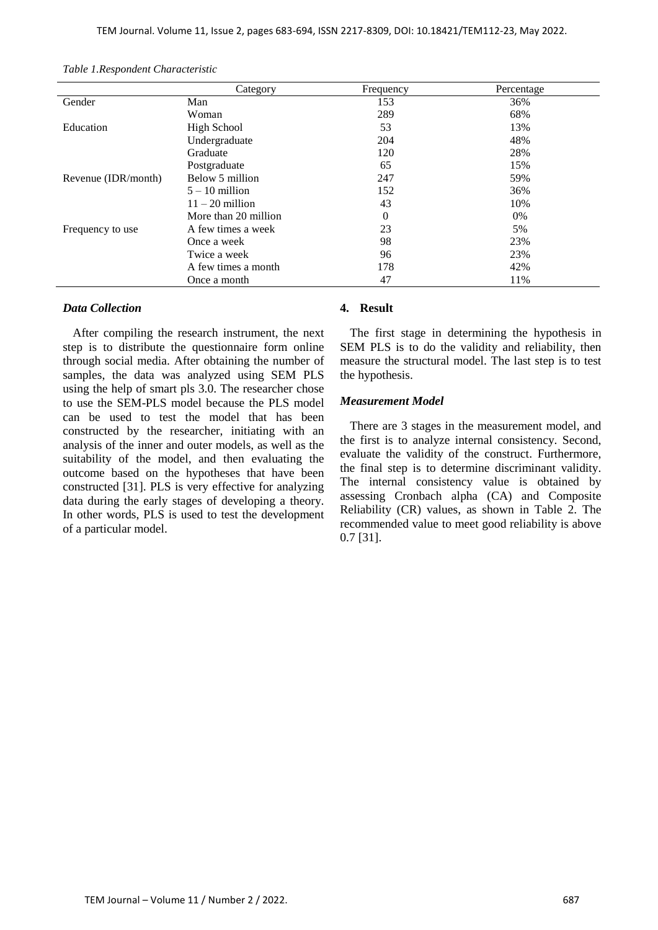|                     | Category             | Frequency | Percentage |
|---------------------|----------------------|-----------|------------|
| Gender              | Man                  | 153       | 36%        |
|                     | Woman                | 289       | 68%        |
| Education           | <b>High School</b>   | 53        | 13%        |
|                     | Undergraduate        | 204       | 48%        |
|                     | Graduate             | 120       | 28%        |
|                     | Postgraduate         | 65        | 15%        |
| Revenue (IDR/month) | Below 5 million      | 247       | 59%        |
|                     | $5 - 10$ million     | 152       | 36%        |
|                     | $11 - 20$ million    | 43        | 10%        |
|                     | More than 20 million | $\Omega$  | $0\%$      |
| Frequency to use    | A few times a week   | 23        | 5%         |
|                     | Once a week          | 98        | 23%        |
|                     | Twice a week         | 96        | 23%        |
|                     | A few times a month  | 178       | 42%        |
|                     | Once a month         | 47        | 11%        |

*Table 1.Respondent Characteristic*

## *Data Collection*

After compiling the research instrument, the next step is to distribute the questionnaire form online through social media. After obtaining the number of samples, the data was analyzed using SEM PLS using the help of smart pls 3.0. The researcher chose to use the SEM-PLS model because the PLS model can be used to test the model that has been constructed by the researcher, initiating with an analysis of the inner and outer models, as well as the suitability of the model, and then evaluating the outcome based on the hypotheses that have been constructed [31]. PLS is very effective for analyzing data during the early stages of developing a theory. In other words, PLS is used to test the development of a particular model.

## **4. Result**

The first stage in determining the hypothesis in SEM PLS is to do the validity and reliability, then measure the structural model. The last step is to test the hypothesis.

#### *Measurement Model*

There are 3 stages in the measurement model, and the first is to analyze internal consistency. Second, evaluate the validity of the construct. Furthermore, the final step is to determine discriminant validity. The internal consistency value is obtained by assessing Cronbach alpha (CA) and Composite Reliability (CR) values, as shown in Table 2. The recommended value to meet good reliability is above 0.7 [31].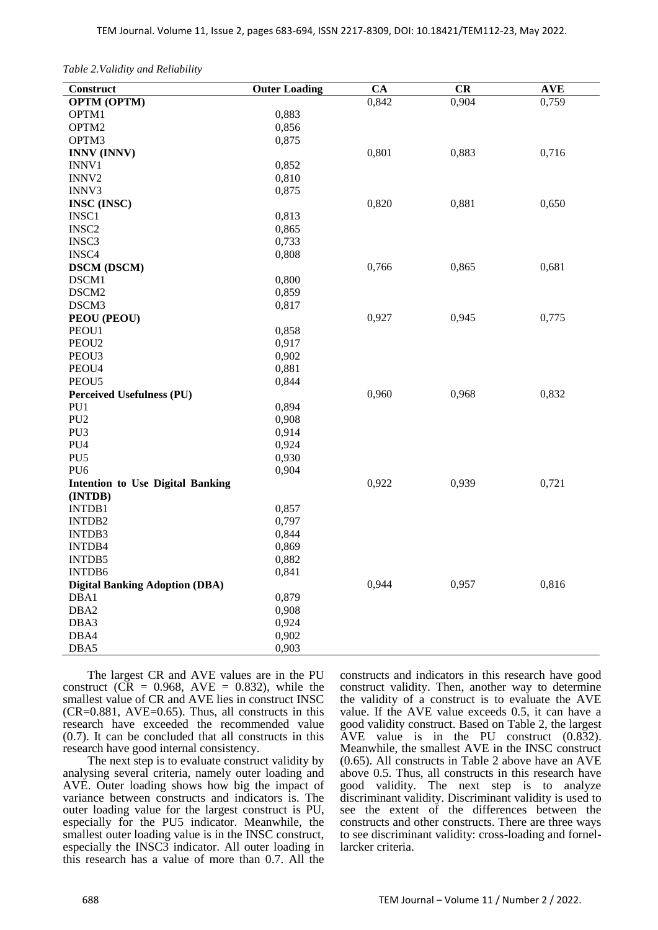*Table 2.Validity and Reliability*

| Construct                               | <b>Outer Loading</b> | <b>CA</b> | CR    | <b>AVE</b> |
|-----------------------------------------|----------------------|-----------|-------|------------|
| <b>OPTM (OPTM)</b>                      |                      | 0,842     | 0,904 | 0,759      |
| OPTM1                                   | 0,883                |           |       |            |
| OPTM2                                   | 0,856                |           |       |            |
| OPTM3                                   | 0,875                |           |       |            |
| <b>INNV (INNV)</b>                      |                      | 0,801     | 0,883 | 0,716      |
| INNV1                                   | 0,852                |           |       |            |
| INNV2                                   | 0,810                |           |       |            |
| INNV3                                   | 0,875                |           |       |            |
| <b>INSC</b> (INSC)                      |                      | 0,820     | 0,881 | 0,650      |
| INSC1                                   | 0,813                |           |       |            |
| INSC <sub>2</sub>                       | 0,865                |           |       |            |
| INSC3                                   | 0,733                |           |       |            |
| INSC4                                   | 0,808                |           |       |            |
| <b>DSCM</b> (DSCM)                      |                      | 0,766     | 0,865 | 0,681      |
| DSCM1                                   | 0,800                |           |       |            |
| DSCM2                                   | 0,859                |           |       |            |
| DSCM3                                   | 0,817                |           |       |            |
| PEOU (PEOU)                             |                      | 0,927     | 0,945 | 0,775      |
| PEOU1                                   | 0,858                |           |       |            |
| PEOU <sub>2</sub>                       | 0,917                |           |       |            |
| PEOU3                                   | 0,902                |           |       |            |
| PEOU4                                   | 0,881                |           |       |            |
| PEOU5                                   | 0,844                |           |       |            |
| <b>Perceived Usefulness (PU)</b>        |                      | 0,960     | 0,968 | 0,832      |
| PU1                                     | 0,894                |           |       |            |
| PU <sub>2</sub>                         | 0,908                |           |       |            |
| PU <sub>3</sub>                         | 0,914                |           |       |            |
| PU4                                     | 0,924                |           |       |            |
| PU <sub>5</sub>                         | 0,930                |           |       |            |
| PU <sub>6</sub>                         | 0,904                |           |       |            |
| <b>Intention to Use Digital Banking</b> |                      | 0,922     | 0,939 | 0,721      |
| (INTDB)                                 |                      |           |       |            |
| INTDB1                                  | 0,857                |           |       |            |
| INTDB2                                  | 0,797                |           |       |            |
| INTDB3                                  | 0,844                |           |       |            |
| INTDB4                                  | 0,869                |           |       |            |
| INTDB5                                  | 0,882                |           |       |            |
| INTDB6                                  | 0,841                |           |       |            |
| <b>Digital Banking Adoption (DBA)</b>   |                      | 0,944     | 0,957 | 0,816      |
| DBA1                                    | 0,879                |           |       |            |
| DBA <sub>2</sub>                        | 0,908                |           |       |            |
| DBA3                                    | 0,924                |           |       |            |
| DBA4                                    | 0,902                |           |       |            |
| DBA5                                    | 0,903                |           |       |            |

The largest CR and AVE values are in the PU construct ( $\overline{CR} = 0.968$ ,  $\overline{AVE} = 0.832$ ), while the smallest value of CR and AVE lies in construct INSC  $(CR=0.881, AVE=0.65)$ . Thus, all constructs in this research have exceeded the recommended value (0.7). It can be concluded that all constructs in this research have good internal consistency.

The next step is to evaluate construct validity by analysing several criteria, namely outer loading and AVE. Outer loading shows how big the impact of variance between constructs and indicators is. The outer loading value for the largest construct is PU, especially for the PU5 indicator. Meanwhile, the smallest outer loading value is in the INSC construct, especially the INSC3 indicator. All outer loading in this research has a value of more than 0.7. All the constructs and indicators in this research have good construct validity. Then, another way to determine the validity of a construct is to evaluate the AVE value. If the AVE value exceeds 0.5, it can have a good validity construct. Based on Table 2, the largest AVE value is in the PU construct (0.832). Meanwhile, the smallest AVE in the INSC construct (0.65). All constructs in Table 2 above have an AVE above 0.5. Thus, all constructs in this research have good validity. The next step is to analyze discriminant validity. Discriminant validity is used to see the extent of the differences between the constructs and other constructs. There are three ways to see discriminant validity: cross-loading and fornellarcker criteria.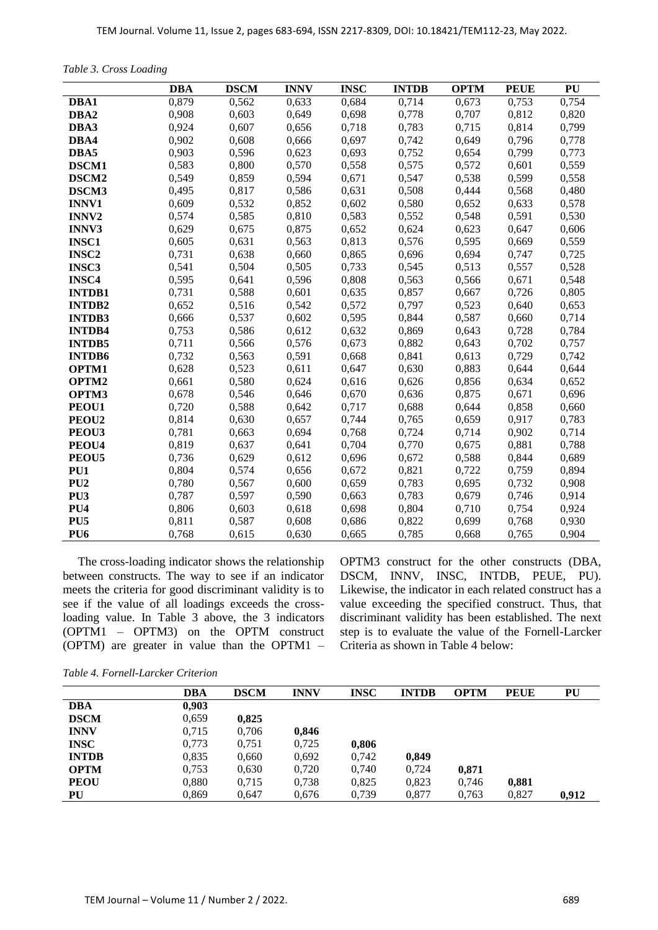*Table 3. Cross Loading*

|                   | <b>DBA</b> | <b>DSCM</b> | <b>INNV</b> | <b>INSC</b> | <b>INTDB</b> | <b>OPTM</b> | <b>PEUE</b> | PU    |
|-------------------|------------|-------------|-------------|-------------|--------------|-------------|-------------|-------|
| DBA1              | 0,879      | 0,562       | 0,633       | 0,684       | 0,714        | 0,673       | 0,753       | 0,754 |
| DBA2              | 0,908      | 0,603       | 0,649       | 0,698       | 0,778        | 0,707       | 0,812       | 0,820 |
| DBA3              | 0,924      | 0,607       | 0,656       | 0,718       | 0,783        | 0,715       | 0,814       | 0,799 |
| DBA4              | 0,902      | 0,608       | 0,666       | 0,697       | 0,742        | 0,649       | 0,796       | 0,778 |
| DBA5              | 0,903      | 0,596       | 0,623       | 0,693       | 0,752        | 0,654       | 0,799       | 0,773 |
| <b>DSCM1</b>      | 0,583      | 0,800       | 0,570       | 0,558       | 0,575        | 0,572       | 0,601       | 0,559 |
| DSCM <sub>2</sub> | 0,549      | 0,859       | 0,594       | 0,671       | 0,547        | 0,538       | 0,599       | 0,558 |
| DSCM3             | 0,495      | 0,817       | 0,586       | 0,631       | 0,508        | 0,444       | 0,568       | 0,480 |
| <b>INNV1</b>      | 0,609      | 0,532       | 0,852       | 0,602       | 0,580        | 0,652       | 0,633       | 0,578 |
| <b>INNV2</b>      | 0,574      | 0,585       | 0,810       | 0,583       | 0,552        | 0,548       | 0,591       | 0,530 |
| <b>INNV3</b>      | 0,629      | 0,675       | 0,875       | 0,652       | 0,624        | 0,623       | 0,647       | 0,606 |
| <b>INSC1</b>      | 0,605      | 0,631       | 0,563       | 0,813       | 0,576        | 0,595       | 0,669       | 0.559 |
| <b>INSC2</b>      | 0,731      | 0,638       | 0,660       | 0,865       | 0,696        | 0,694       | 0,747       | 0,725 |
| <b>INSC3</b>      | 0,541      | 0,504       | 0,505       | 0,733       | 0,545        | 0,513       | 0,557       | 0,528 |
| <b>INSC4</b>      | 0,595      | 0,641       | 0,596       | 0,808       | 0,563        | 0,566       | 0,671       | 0,548 |
| <b>INTDB1</b>     | 0,731      | 0,588       | 0,601       | 0,635       | 0,857        | 0,667       | 0,726       | 0,805 |
| <b>INTDB2</b>     | 0,652      | 0,516       | 0,542       | 0,572       | 0,797        | 0,523       | 0,640       | 0,653 |
| <b>INTDB3</b>     | 0,666      | 0,537       | 0,602       | 0,595       | 0,844        | 0,587       | 0,660       | 0,714 |
| <b>INTDB4</b>     | 0,753      | 0,586       | 0,612       | 0,632       | 0,869        | 0,643       | 0,728       | 0,784 |
| <b>INTDB5</b>     | 0,711      | 0,566       | 0,576       | 0,673       | 0,882        | 0,643       | 0,702       | 0,757 |
| <b>INTDB6</b>     | 0,732      | 0,563       | 0,591       | 0,668       | 0,841        | 0,613       | 0,729       | 0,742 |
| OPTM1             | 0,628      | 0,523       | 0,611       | 0,647       | 0,630        | 0,883       | 0,644       | 0,644 |
| OPTM2             | 0,661      | 0,580       | 0,624       | 0,616       | 0,626        | 0,856       | 0,634       | 0,652 |
| OPTM3             | 0,678      | 0,546       | 0,646       | 0,670       | 0,636        | 0,875       | 0,671       | 0,696 |
| PEOU1             | 0,720      | 0,588       | 0,642       | 0,717       | 0,688        | 0,644       | 0,858       | 0,660 |
| PEOU <sub>2</sub> | 0,814      | 0,630       | 0,657       | 0,744       | 0,765        | 0,659       | 0,917       | 0,783 |
| PEOU3             | 0,781      | 0,663       | 0,694       | 0,768       | 0,724        | 0,714       | 0,902       | 0,714 |
| PEOU4             | 0,819      | 0,637       | 0,641       | 0,704       | 0,770        | 0,675       | 0,881       | 0,788 |
| PEOU5             | 0,736      | 0,629       | 0,612       | 0,696       | 0,672        | 0,588       | 0,844       | 0,689 |
| PU <sub>1</sub>   | 0,804      | 0,574       | 0,656       | 0,672       | 0,821        | 0,722       | 0,759       | 0,894 |
| PU <sub>2</sub>   | 0,780      | 0,567       | 0,600       | 0,659       | 0,783        | 0,695       | 0,732       | 0,908 |
| PU <sub>3</sub>   | 0,787      | 0,597       | 0,590       | 0,663       | 0,783        | 0,679       | 0,746       | 0,914 |
| PU <sub>4</sub>   | 0,806      | 0,603       | 0,618       | 0,698       | 0,804        | 0,710       | 0,754       | 0,924 |
| PU <sub>5</sub>   | 0,811      | 0,587       | 0,608       | 0,686       | 0,822        | 0,699       | 0,768       | 0,930 |
| PU <sub>6</sub>   | 0,768      | 0,615       | 0,630       | 0,665       | 0,785        | 0,668       | 0,765       | 0,904 |

The cross-loading indicator shows the relationship between constructs. The way to see if an indicator meets the criteria for good discriminant validity is to see if the value of all loadings exceeds the crossloading value. In Table 3 above, the 3 indicators (OPTM1 – OPTM3) on the OPTM construct (OPTM) are greater in value than the OPTM1 – OPTM3 construct for the other constructs (DBA, DSCM, INNV, INSC, INTDB, PEUE, PU). Likewise, the indicator in each related construct has a value exceeding the specified construct. Thus, that discriminant validity has been established. The next step is to evaluate the value of the Fornell-Larcker Criteria as shown in Table 4 below:

*Table 4. Fornell-Larcker Criterion*

|              | DBA   | <b>DSCM</b> | <b>INNV</b> | <b>INSC</b> | <b>INTDB</b> | <b>OPTM</b> | <b>PEUE</b> | PU    |
|--------------|-------|-------------|-------------|-------------|--------------|-------------|-------------|-------|
| DBA          | 0,903 |             |             |             |              |             |             |       |
| <b>DSCM</b>  | 0,659 | 0,825       |             |             |              |             |             |       |
| <b>INNV</b>  | 0.715 | 0,706       | 0,846       |             |              |             |             |       |
| <b>INSC</b>  | 0,773 | 0,751       | 0,725       | 0,806       |              |             |             |       |
| <b>INTDB</b> | 0,835 | 0,660       | 0,692       | 0,742       | 0,849        |             |             |       |
| <b>OPTM</b>  | 0.753 | 0,630       | 0,720       | 0,740       | 0,724        | 0,871       |             |       |
| <b>PEOU</b>  | 0,880 | 0,715       | 0,738       | 0,825       | 0,823        | 0,746       | 0,881       |       |
| PU           | 0,869 | 0,647       | 0,676       | 0,739       | 0,877        | 0.763       | 0,827       | 0,912 |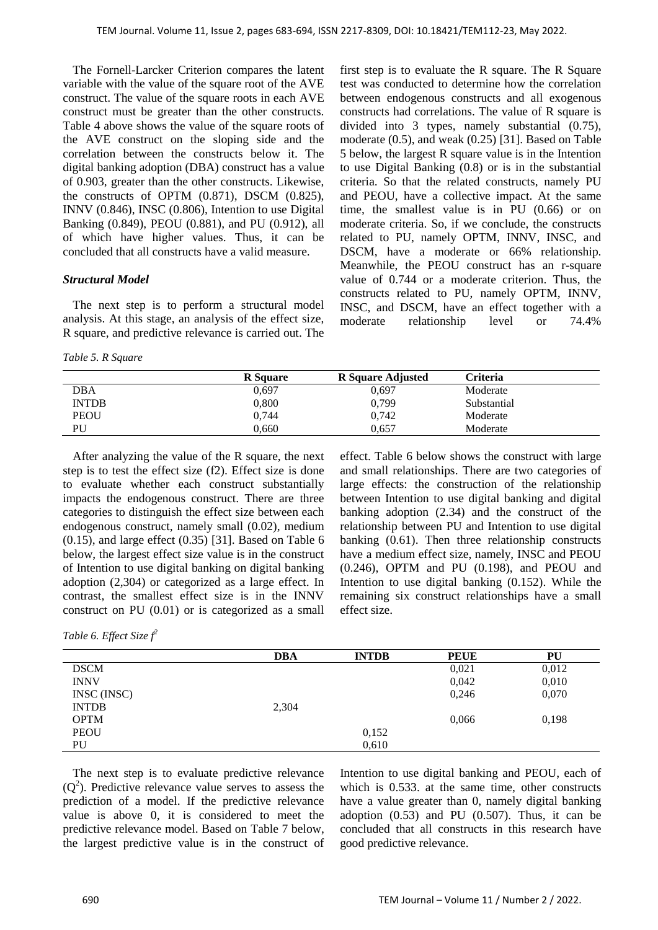The Fornell-Larcker Criterion compares the latent variable with the value of the square root of the AVE construct. The value of the square roots in each AVE construct must be greater than the other constructs. Table 4 above shows the value of the square roots of the AVE construct on the sloping side and the correlation between the constructs below it. The digital banking adoption (DBA) construct has a value of 0.903, greater than the other constructs. Likewise, the constructs of OPTM (0.871), DSCM (0.825), INNV (0.846), INSC (0.806), Intention to use Digital Banking (0.849), PEOU (0.881), and PU (0.912), all of which have higher values. Thus, it can be concluded that all constructs have a valid measure.

## *Structural Model*

The next step is to perform a structural model analysis. At this stage, an analysis of the effect size, R square, and predictive relevance is carried out. The

*Table 5. R Square*

first step is to evaluate the R square. The R Square test was conducted to determine how the correlation between endogenous constructs and all exogenous constructs had correlations. The value of R square is divided into 3 types, namely substantial (0.75), moderate (0.5), and weak (0.25) [31]. Based on Table 5 below, the largest R square value is in the Intention to use Digital Banking (0.8) or is in the substantial criteria. So that the related constructs, namely PU and PEOU, have a collective impact. At the same time, the smallest value is in PU (0.66) or on moderate criteria. So, if we conclude, the constructs related to PU, namely OPTM, INNV, INSC, and DSCM, have a moderate or 66% relationship. Meanwhile, the PEOU construct has an r-square value of 0.744 or a moderate criterion. Thus, the constructs related to PU, namely OPTM, INNV, INSC, and DSCM, have an effect together with a moderate relationship level or 74.4%

|              | <b>R</b> Square | <b>R</b> Square Adjusted | Criteria    |
|--------------|-----------------|--------------------------|-------------|
| DBA          | 0.697           | 0.697                    | Moderate    |
| <b>INTDB</b> | 0,800           | 0,799                    | Substantial |
| <b>PEOU</b>  | 0.744           | 0.742                    | Moderate    |
| PU           | 0.660           | 0.657                    | Moderate    |

After analyzing the value of the R square, the next step is to test the effect size (f2). Effect size is done to evaluate whether each construct substantially impacts the endogenous construct. There are three categories to distinguish the effect size between each endogenous construct, namely small (0.02), medium  $(0.15)$ , and large effect  $(0.35)$  [31]. Based on Table 6 below, the largest effect size value is in the construct of Intention to use digital banking on digital banking adoption (2,304) or categorized as a large effect. In contrast, the smallest effect size is in the INNV construct on PU (0.01) or is categorized as a small effect. Table 6 below shows the construct with large and small relationships. There are two categories of large effects: the construction of the relationship between Intention to use digital banking and digital banking adoption (2.34) and the construct of the relationship between PU and Intention to use digital banking (0.61). Then three relationship constructs have a medium effect size, namely, INSC and PEOU (0.246), OPTM and PU (0.198), and PEOU and Intention to use digital banking (0.152). While the remaining six construct relationships have a small effect size.

*Table 6. Effect Size f<sup>2</sup>*

|              | <b>DBA</b> | <b>INTDB</b> | <b>PEUE</b> | PU    |
|--------------|------------|--------------|-------------|-------|
| <b>DSCM</b>  |            |              | 0,021       | 0,012 |
| <b>INNV</b>  |            |              | 0,042       | 0,010 |
| INSC (INSC)  |            |              | 0,246       | 0,070 |
| <b>INTDB</b> | 2,304      |              |             |       |
| <b>OPTM</b>  |            |              | 0,066       | 0,198 |
| <b>PEOU</b>  |            | 0,152        |             |       |
| PU           |            | 0,610        |             |       |

The next step is to evaluate predictive relevance  $(Q<sup>2</sup>)$ . Predictive relevance value serves to assess the prediction of a model. If the predictive relevance value is above 0, it is considered to meet the predictive relevance model. Based on Table 7 below, the largest predictive value is in the construct of

Intention to use digital banking and PEOU, each of which is 0.533. at the same time, other constructs have a value greater than 0, namely digital banking adoption  $(0.53)$  and PU  $(0.507)$ . Thus, it can be concluded that all constructs in this research have good predictive relevance.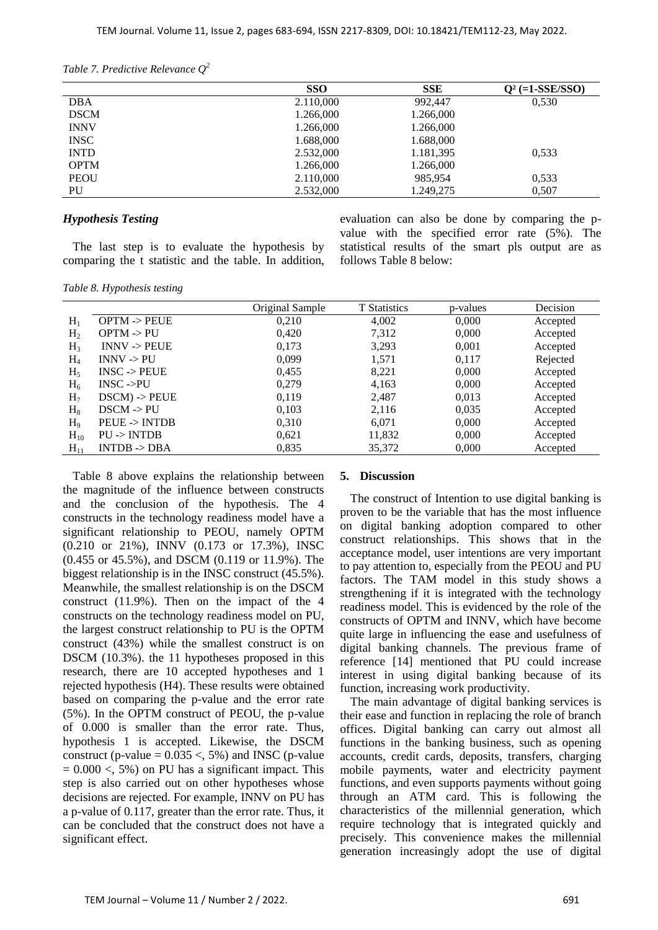| Table 7. Predictive Relevance $Q^2$ |  |
|-------------------------------------|--|
|-------------------------------------|--|

|             | <b>SSO</b> | <b>SSE</b> | $Q^2$ (=1-SSE/SSO) |
|-------------|------------|------------|--------------------|
| <b>DBA</b>  | 2.110,000  | 992,447    | 0,530              |
| <b>DSCM</b> | 1.266,000  | 1.266,000  |                    |
| <b>INNV</b> | 1.266,000  | 1.266,000  |                    |
| <b>INSC</b> | 1.688,000  | 1.688,000  |                    |
| <b>INTD</b> | 2.532,000  | 1.181,395  | 0.533              |
| <b>OPTM</b> | 1.266,000  | 1.266,000  |                    |
| <b>PEOU</b> | 2.110,000  | 985,954    | 0,533              |
| PU          | 2.532,000  | 1.249,275  | 0,507              |

#### *Hypothesis Testing*

The last step is to evaluate the hypothesis by comparing the t statistic and the table. In addition, evaluation can also be done by comparing the pvalue with the specified error rate (5%). The statistical results of the smart pls output are as follows Table 8 below:

|  |  | Table 8. Hypothesis testing |  |
|--|--|-----------------------------|--|
|--|--|-----------------------------|--|

|                |                          | Original Sample | <b>T</b> Statistics | p-values | Decision |
|----------------|--------------------------|-----------------|---------------------|----------|----------|
| $H_1$          | $OPTM \rightarrow PEUE$  | 0.210           | 4,002               | 0,000    | Accepted |
| H <sub>2</sub> | $OPTM \rightarrow PU$    | 0.420           | 7,312               | 0,000    | Accepted |
| $H_3$          | $INNV \rightarrow PEUE$  | 0,173           | 3,293               | 0,001    | Accepted |
| $H_4$          | $INNV \rightarrow PU$    | 0.099           | 1,571               | 0,117    | Rejected |
| $H_5$          | $INSC \rightarrow PEUE$  | 0,455           | 8,221               | 0,000    | Accepted |
| $H_6$          | $INSC ->PU$              | 0,279           | 4,163               | 0,000    | Accepted |
| H <sub>7</sub> | $DSCM$ ) -> $PEUE$       | 0,119           | 2,487               | 0.013    | Accepted |
| $H_8$          | $DSCM \rightarrow PU$    | 0,103           | 2,116               | 0,035    | Accepted |
| H <sub>9</sub> | $PEUE \rightarrow INTDB$ | 0.310           | 6,071               | 0,000    | Accepted |
| $H_{10}$       | $PU \rightarrow INTDB$   | 0,621           | 11,832              | 0,000    | Accepted |
| $H_{11}$       | $INTDB \rightarrow DBA$  | 0,835           | 35,372              | 0,000    | Accepted |

Table 8 above explains the relationship between the magnitude of the influence between constructs and the conclusion of the hypothesis. The 4 constructs in the technology readiness model have a significant relationship to PEOU, namely OPTM (0.210 or 21%), INNV (0.173 or 17.3%), INSC (0.455 or 45.5%), and DSCM (0.119 or 11.9%). The biggest relationship is in the INSC construct (45.5%). Meanwhile, the smallest relationship is on the DSCM construct (11.9%). Then on the impact of the 4 constructs on the technology readiness model on PU, the largest construct relationship to PU is the OPTM construct (43%) while the smallest construct is on DSCM (10.3%). the 11 hypotheses proposed in this research, there are 10 accepted hypotheses and 1 rejected hypothesis (H4). These results were obtained based on comparing the p-value and the error rate (5%). In the OPTM construct of PEOU, the p-value of 0.000 is smaller than the error rate. Thus, hypothesis 1 is accepted. Likewise, the DSCM construct (p-value =  $0.035 < 5\%$ ) and INSC (p-value  $= 0.000 \leq 5\%$ ) on PU has a significant impact. This step is also carried out on other hypotheses whose decisions are rejected. For example, INNV on PU has a p-value of 0.117, greater than the error rate. Thus, it can be concluded that the construct does not have a significant effect.

#### **5. Discussion**

The construct of Intention to use digital banking is proven to be the variable that has the most influence on digital banking adoption compared to other construct relationships. This shows that in the acceptance model, user intentions are very important to pay attention to, especially from the PEOU and PU factors. The TAM model in this study shows a strengthening if it is integrated with the technology readiness model. This is evidenced by the role of the constructs of OPTM and INNV, which have become quite large in influencing the ease and usefulness of digital banking channels. The previous frame of reference [14] mentioned that PU could increase interest in using digital banking because of its function, increasing work productivity.

The main advantage of digital banking services is their ease and function in replacing the role of branch offices. Digital banking can carry out almost all functions in the banking business, such as opening accounts, credit cards, deposits, transfers, charging mobile payments, water and electricity payment functions, and even supports payments without going through an ATM card. This is following the characteristics of the millennial generation, which require technology that is integrated quickly and precisely. This convenience makes the millennial generation increasingly adopt the use of digital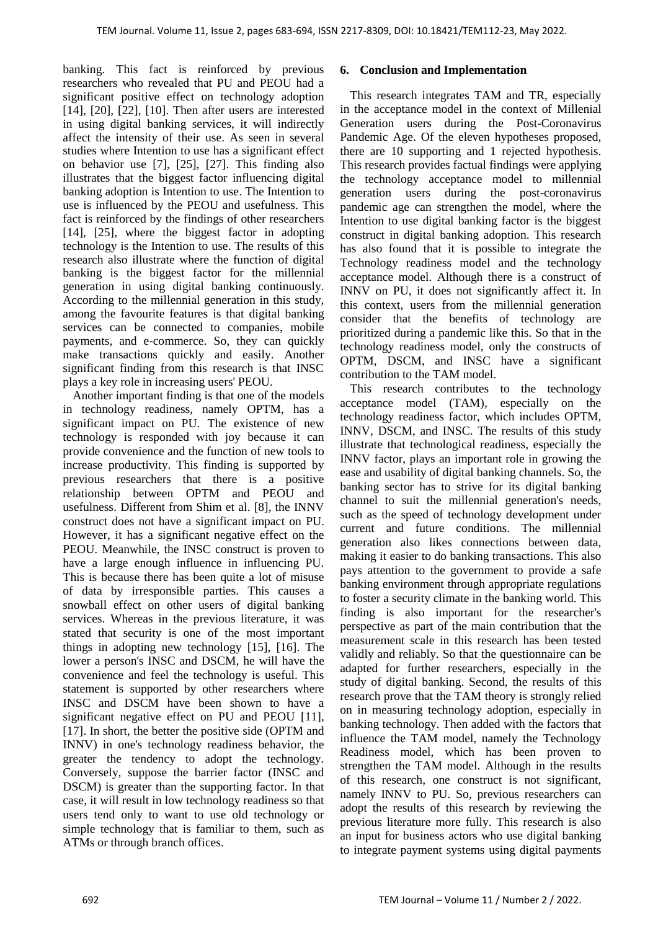banking. This fact is reinforced by previous researchers who revealed that PU and PEOU had a significant positive effect on technology adoption [14], [20], [22], [10]. Then after users are interested in using digital banking services, it will indirectly affect the intensity of their use. As seen in several studies where Intention to use has a significant effect on behavior use [7], [25], [27]. This finding also illustrates that the biggest factor influencing digital banking adoption is Intention to use. The Intention to use is influenced by the PEOU and usefulness. This fact is reinforced by the findings of other researchers [14], [25], where the biggest factor in adopting technology is the Intention to use. The results of this research also illustrate where the function of digital banking is the biggest factor for the millennial generation in using digital banking continuously. According to the millennial generation in this study, among the favourite features is that digital banking services can be connected to companies, mobile payments, and e-commerce. So, they can quickly make transactions quickly and easily. Another significant finding from this research is that INSC plays a key role in increasing users' PEOU.

Another important finding is that one of the models in technology readiness, namely OPTM, has a significant impact on PU. The existence of new technology is responded with joy because it can provide convenience and the function of new tools to increase productivity. This finding is supported by previous researchers that there is a positive relationship between OPTM and PEOU and usefulness. Different from Shim et al. [8], the INNV construct does not have a significant impact on PU. However, it has a significant negative effect on the PEOU. Meanwhile, the INSC construct is proven to have a large enough influence in influencing PU. This is because there has been quite a lot of misuse of data by irresponsible parties. This causes a snowball effect on other users of digital banking services. Whereas in the previous literature, it was stated that security is one of the most important things in adopting new technology [15], [16]. The lower a person's INSC and DSCM, he will have the convenience and feel the technology is useful. This statement is supported by other researchers where INSC and DSCM have been shown to have a significant negative effect on PU and PEOU [11], [17]. In short, the better the positive side (OPTM and INNV) in one's technology readiness behavior, the greater the tendency to adopt the technology. Conversely, suppose the barrier factor (INSC and DSCM) is greater than the supporting factor. In that case, it will result in low technology readiness so that users tend only to want to use old technology or simple technology that is familiar to them, such as ATMs or through branch offices.

# **6. Conclusion and Implementation**

This research integrates TAM and TR, especially in the acceptance model in the context of Millenial Generation users during the Post-Coronavirus Pandemic Age. Of the eleven hypotheses proposed, there are 10 supporting and 1 rejected hypothesis. This research provides factual findings were applying the technology acceptance model to millennial generation users during the post-coronavirus pandemic age can strengthen the model, where the Intention to use digital banking factor is the biggest construct in digital banking adoption. This research has also found that it is possible to integrate the Technology readiness model and the technology acceptance model. Although there is a construct of INNV on PU, it does not significantly affect it. In this context, users from the millennial generation consider that the benefits of technology are prioritized during a pandemic like this. So that in the technology readiness model, only the constructs of OPTM, DSCM, and INSC have a significant contribution to the TAM model.

This research contributes to the technology acceptance model (TAM), especially on the technology readiness factor, which includes OPTM, INNV, DSCM, and INSC. The results of this study illustrate that technological readiness, especially the INNV factor, plays an important role in growing the ease and usability of digital banking channels. So, the banking sector has to strive for its digital banking channel to suit the millennial generation's needs, such as the speed of technology development under current and future conditions. The millennial generation also likes connections between data, making it easier to do banking transactions. This also pays attention to the government to provide a safe banking environment through appropriate regulations to foster a security climate in the banking world. This finding is also important for the researcher's perspective as part of the main contribution that the measurement scale in this research has been tested validly and reliably. So that the questionnaire can be adapted for further researchers, especially in the study of digital banking. Second, the results of this research prove that the TAM theory is strongly relied on in measuring technology adoption, especially in banking technology. Then added with the factors that influence the TAM model, namely the Technology Readiness model, which has been proven to strengthen the TAM model. Although in the results of this research, one construct is not significant, namely INNV to PU. So, previous researchers can adopt the results of this research by reviewing the previous literature more fully. This research is also an input for business actors who use digital banking to integrate payment systems using digital payments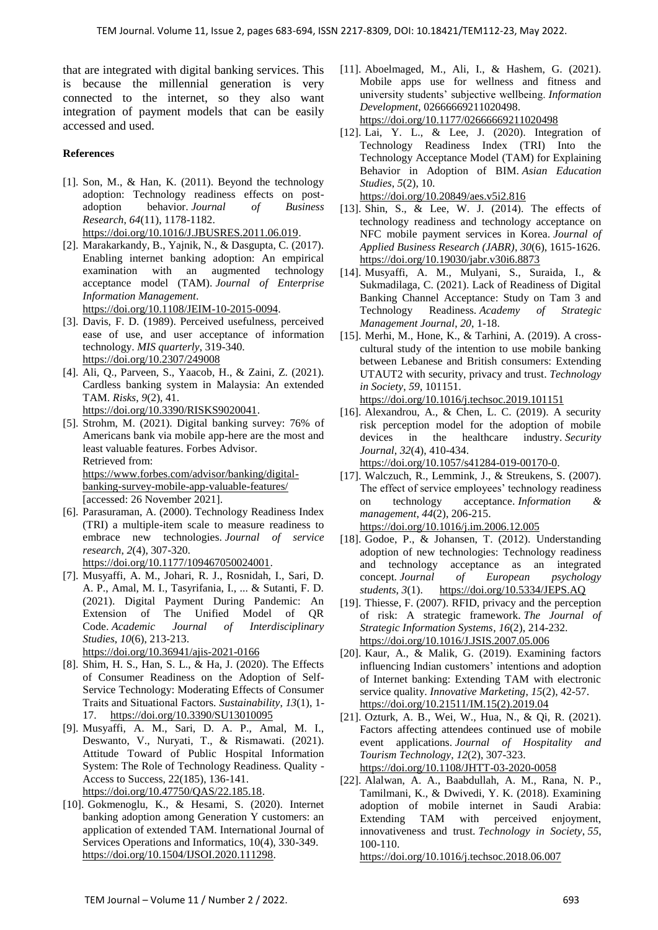that are integrated with digital banking services. This is because the millennial generation is very connected to the internet, so they also want integration of payment models that can be easily accessed and used.

#### **References**

- [1]. Son, M., & Han, K. (2011). Beyond the technology adoption: Technology readiness effects on postadoption behavior. *Journal of Business Research*, *64*(11), 1178-1182. [https://doi.org/10.1016/J.JBUSRES.2011.06.019.](https://doi.org/10.1016/J.JBUSRES.2011.06.019)
- [2]. Marakarkandy, B., Yajnik, N., & Dasgupta, C. (2017). Enabling internet banking adoption: An empirical examination with an augmented technology acceptance model (TAM). *Journal of Enterprise Information Management*. [https://doi.org/10.1108/JEIM-10-2015-0094.](https://doi.org/10.1108/JEIM-10-2015-0094)
- [3]. Davis, F. D. (1989). Perceived usefulness, perceived ease of use, and user acceptance of information technology. *MIS quarterly*, 319-340. <https://doi.org/10.2307/249008>
- [4]. Ali, Q., Parveen, S., Yaacob, H., & Zaini, Z. (2021). Cardless banking system in Malaysia: An extended TAM. *Risks*, *9*(2), 41. [https://doi.org/10.3390/RISKS9020041.](https://doi.org/10.3390/RISKS9020041)
- [5]. Strohm, M. (2021). Digital banking survey: 76% of Americans bank via mobile app-here are the most and least valuable features. Forbes Advisor. Retrieved from: [https://www.forbes.com/advisor/banking/digital](https://www.forbes.com/advisor/banking/digital-banking-survey-mobile-app-valuable-features/)[banking-survey-mobile-app-valuable-features/](https://www.forbes.com/advisor/banking/digital-banking-survey-mobile-app-valuable-features/) [accessed: 26 November 2021].
- [6]. Parasuraman, A. (2000). Technology Readiness Index (TRI) a multiple-item scale to measure readiness to embrace new technologies. *Journal of service research*, *2*(4), 307-320.
- [https://doi.org/10.1177/109467050024001.](https://doi.org/10.1177/109467050024001)
- [7]. Musyaffi, A. M., Johari, R. J., Rosnidah, I., Sari, D. A. P., Amal, M. I., Tasyrifania, I., ... & Sutanti, F. D. (2021). Digital Payment During Pandemic: An Extension of The Unified Model of QR Code. *Academic Journal of Interdisciplinary Studies*, *10*(6), 213-213. <https://doi.org/10.36941/ajis-2021-0166>
- [8]. Shim, H. S., Han, S. L., & Ha, J. (2020). The Effects of Consumer Readiness on the Adoption of Self-Service Technology: Moderating Effects of Consumer Traits and Situational Factors. *Sustainability*, *13*(1), 1- 17. <https://doi.org/10.3390/SU13010095>
- [9]. Musyaffi, A. M., Sari, D. A. P., Amal, M. I., Deswanto, V., Nuryati, T., & Rismawati. (2021). Attitude Toward of Public Hospital Information System: The Role of Technology Readiness. Quality - Access to Success, 22(185), 136-141. [https://doi.org/10.47750/QAS/22.185.18.](https://doi.org/10.47750/QAS/22.185.18)
- [10]. Gokmenoglu, K., & Hesami, S. (2020). Internet banking adoption among Generation Y customers: an application of extended TAM. International Journal of Services Operations and Informatics, 10(4), 330-349. [https://doi.org/10.1504/IJSOI.2020.111298.](https://doi.org/10.1504/IJSOI.2020.111298)
- [11]. Aboelmaged, M., Ali, I., & Hashem, G. (2021). Mobile apps use for wellness and fitness and university students' subjective wellbeing. *Information Development*, 02666669211020498. <https://doi.org/10.1177/02666669211020498>
- [12]. Lai, Y. L., & Lee, J. (2020). Integration of Technology Readiness Index (TRI) Into the Technology Acceptance Model (TAM) for Explaining Behavior in Adoption of BIM. *Asian Education Studies*, *5*(2), 10. <https://doi.org/10.20849/aes.v5i2.816>

[13]. Shin, S., & Lee, W. J. (2014). The effects of technology readiness and technology acceptance on NFC mobile payment services in Korea. *Journal of Applied Business Research (JABR)*, *30*(6), 1615-1626. <https://doi.org/10.19030/jabr.v30i6.8873>

- [14]. Musyaffi, A. M., Mulyani, S., Suraida, I., & Sukmadilaga, C. (2021). Lack of Readiness of Digital Banking Channel Acceptance: Study on Tam 3 and Technology Readiness. *Academy of Strategic Management Journal*, *20*, 1-18.
- [15]. Merhi, M., Hone, K., & Tarhini, A. (2019). A crosscultural study of the intention to use mobile banking between Lebanese and British consumers: Extending UTAUT2 with security, privacy and trust. *Technology in Society*, *59*, 101151.

<https://doi.org/10.1016/j.techsoc.2019.101151>

- [16]. Alexandrou, A., & Chen, L. C. (2019). A security risk perception model for the adoption of mobile devices in the healthcare industry. *Security Journal*, *32*(4), 410-434. [https://doi.org/10.1057/s41284-019-00170-0.](https://doi.org/10.1057/s41284-019-00170-0)
- [17]. Walczuch, R., Lemmink, J., & Streukens, S. (2007). The effect of service employees' technology readiness on technology acceptance. *Information & management*, *44*(2), 206-215. <https://doi.org/10.1016/j.im.2006.12.005>
- [18]. Godoe, P., & Johansen, T. (2012). Understanding adoption of new technologies: Technology readiness and technology acceptance as an integrated concept. *Journal of European psychology students*, *3*(1). <https://doi.org/10.5334/JEPS.AQ>
- [19]. Thiesse, F. (2007). RFID, privacy and the perception of risk: A strategic framework. *The Journal of Strategic Information Systems*, *16*(2), 214-232. <https://doi.org/10.1016/J.JSIS.2007.05.006>
- [20]. Kaur, A., & Malik, G. (2019). Examining factors influencing Indian customers' intentions and adoption of Internet banking: Extending TAM with electronic service quality. *Innovative Marketing*, *15*(2), 42-57. [https://doi.org/10.21511/IM.15\(2\).2019.04](https://doi.org/10.21511/IM.15(2).2019.04)
- [21]. Ozturk, A. B., Wei, W., Hua, N., & Qi, R. (2021). Factors affecting attendees continued use of mobile event applications. *Journal of Hospitality and Tourism Technology*, *12*(2), 307-323. <https://doi.org/10.1108/JHTT-03-2020-0058>
- [22]. Alalwan, A. A., Baabdullah, A. M., Rana, N. P., Tamilmani, K., & Dwivedi, Y. K. (2018). Examining adoption of mobile internet in Saudi Arabia: Extending TAM with perceived enjoyment, innovativeness and trust. *Technology in Society*, *55*, 100-110.

<https://doi.org/10.1016/j.techsoc.2018.06.007>